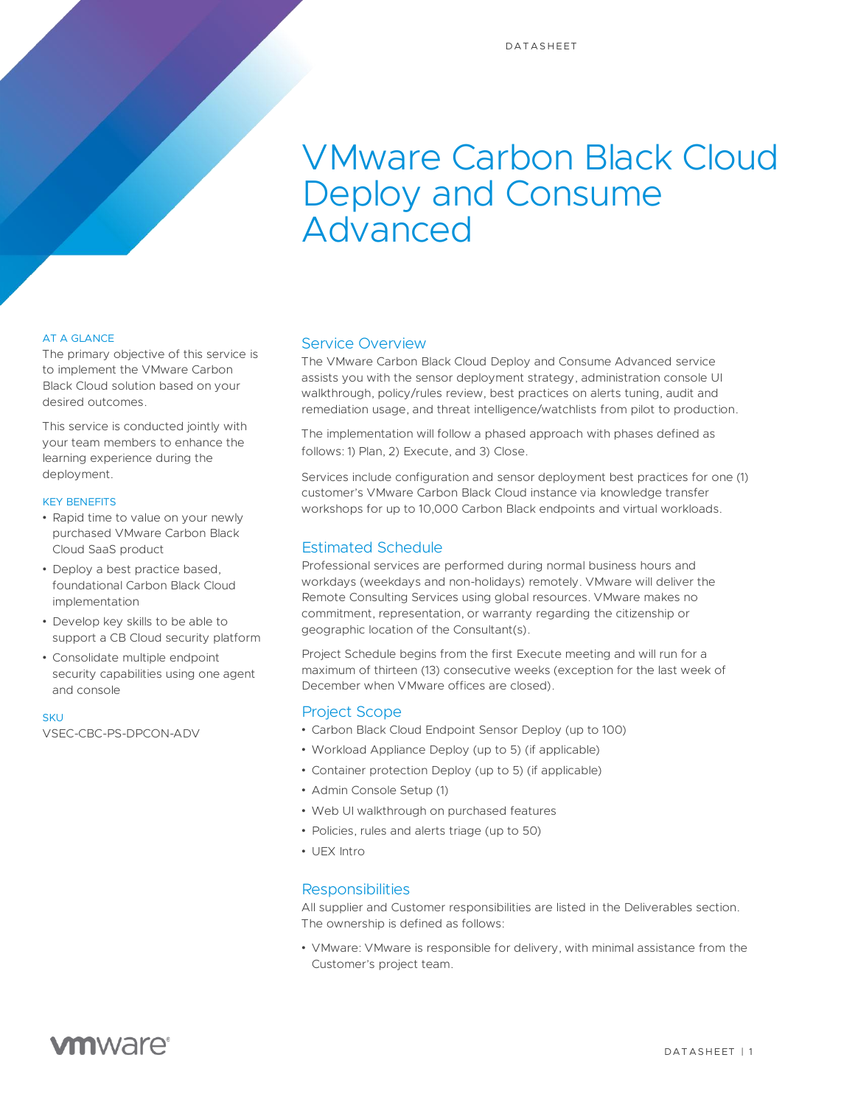# VMware Carbon Black Cloud Deploy and Consume Advanced

#### AT A GLANCE

The primary objective of this service is to implement the VMware Carbon Black Cloud solution based on your desired outcomes.

This service is conducted jointly with your team members to enhance the learning experience during the deployment.

#### KEY BENEFITS

- Rapid time to value on your newly purchased VMware Carbon Black Cloud SaaS product
- Deploy a best practice based, foundational Carbon Black Cloud implementation
- Develop key skills to be able to support a CB Cloud security platform
- Consolidate multiple endpoint security capabilities using one agent and console

#### **SKU**

VSEC-CBC-PS-DPCON-ADV

### Service Overview

The VMware Carbon Black Cloud Deploy and Consume Advanced service assists you with the sensor deployment strategy, administration console UI walkthrough, policy/rules review, best practices on alerts tuning, audit and remediation usage, and threat intelligence/watchlists from pilot to production.

The implementation will follow a phased approach with phases defined as follows: 1) Plan, 2) Execute, and 3) Close.

Services include configuration and sensor deployment best practices for one (1) customer's VMware Carbon Black Cloud instance via knowledge transfer workshops for up to 10,000 Carbon Black endpoints and virtual workloads.

### Estimated Schedule

Professional services are performed during normal business hours and workdays (weekdays and non-holidays) remotely. VMware will deliver the Remote Consulting Services using global resources. VMware makes no commitment, representation, or warranty regarding the citizenship or geographic location of the Consultant(s).

Project Schedule begins from the first Execute meeting and will run for a maximum of thirteen (13) consecutive weeks (exception for the last week of December when VMware offices are closed).

#### Project Scope

- Carbon Black Cloud Endpoint Sensor Deploy (up to 100)
- Workload Appliance Deploy (up to 5) (if applicable)
- Container protection Deploy (up to 5) (if applicable)
- Admin Console Setup (1)
- Web UI walkthrough on purchased features
- Policies, rules and alerts triage (up to 50)
- UEX Intro

### **Responsibilities**

All supplier and Customer responsibilities are listed in the Deliverables section. The ownership is defined as follows:

• VMware: VMware is responsible for delivery, with minimal assistance from the Customer's project team.

# **vm**ware<sup>®</sup>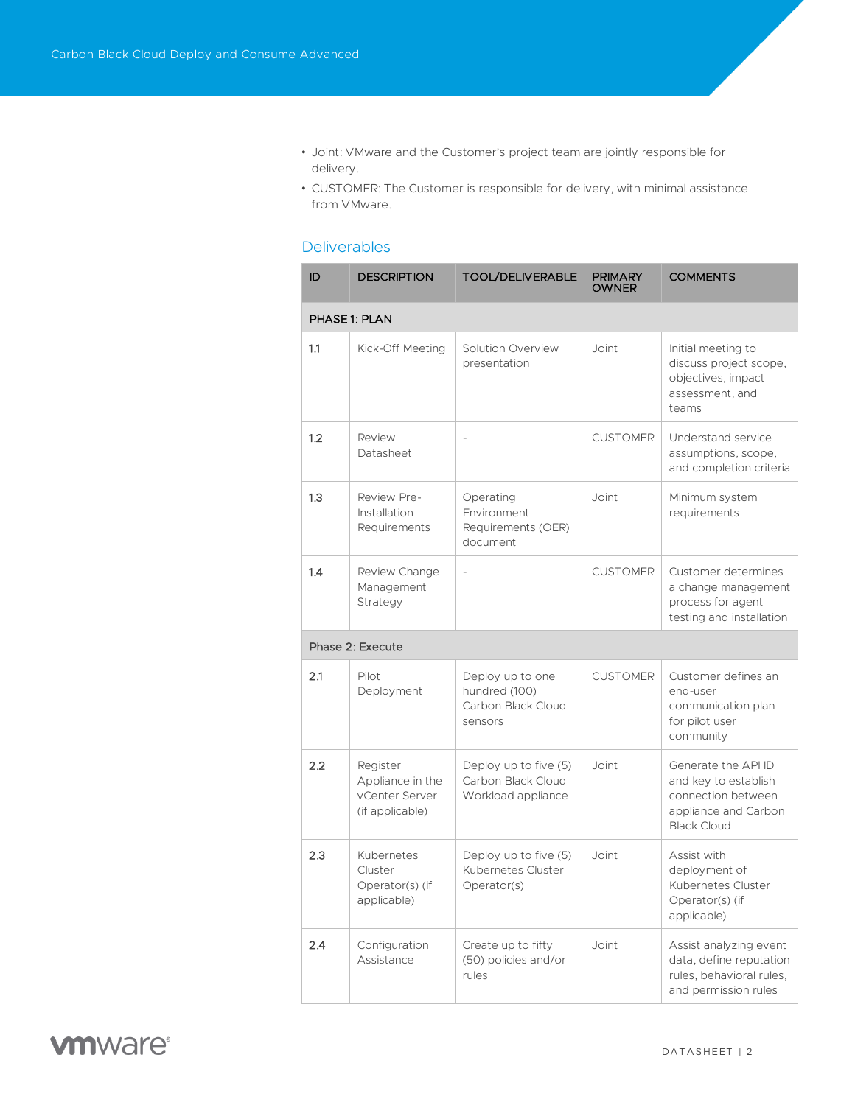- Joint: VMware and the Customer's project team are jointly responsible for delivery.
- CUSTOMER: The Customer is responsible for delivery, with minimal assistance from VMware.

### **Deliverables**

| ID               | <b>DESCRIPTION</b>                                                | TOOL/DELIVERABLE                                                   | <b>PRIMARY</b><br>OWNER | <b>COMMENTS</b>                                                                                                 |  |  |  |
|------------------|-------------------------------------------------------------------|--------------------------------------------------------------------|-------------------------|-----------------------------------------------------------------------------------------------------------------|--|--|--|
| PHASE 1: PLAN    |                                                                   |                                                                    |                         |                                                                                                                 |  |  |  |
| 1.1              | Kick-Off Meeting                                                  | Solution Overview<br>presentation                                  | Joint                   | Initial meeting to<br>discuss project scope,<br>objectives, impact<br>assessment, and<br>teams                  |  |  |  |
| 1.2              | Review<br>Datasheet                                               | $\overline{a}$                                                     | <b>CUSTOMER</b>         | Understand service<br>assumptions, scope,<br>and completion criteria                                            |  |  |  |
| 1.3              | Review Pre-<br>Installation<br>Requirements                       | Operating<br>Environment<br>Requirements (OER)<br>document         | Joint                   | Minimum system<br>requirements                                                                                  |  |  |  |
| 1.4              | Review Change<br>Management<br>Strategy                           | $\overline{a}$                                                     | <b>CUSTOMER</b>         | Customer determines<br>a change management<br>process for agent<br>testing and installation                     |  |  |  |
| Phase 2: Execute |                                                                   |                                                                    |                         |                                                                                                                 |  |  |  |
| 2.1              | Pilot<br>Deployment                                               | Deploy up to one<br>hundred (100)<br>Carbon Black Cloud<br>sensors | <b>CUSTOMER</b>         | Customer defines an<br>end-user<br>communication plan<br>for pilot user<br>community                            |  |  |  |
| 2.2              | Register<br>Appliance in the<br>vCenter Server<br>(if applicable) | Deploy up to five (5)<br>Carbon Black Cloud<br>Workload appliance  | Joint                   | Generate the API ID<br>and key to establish<br>connection between<br>appliance and Carbon<br><b>Black Cloud</b> |  |  |  |
| 2.3              | Kubernetes<br>Cluster<br>Operator(s) (if<br>applicable)           | Deploy up to five (5)<br>Kubernetes Cluster<br>Operator(s)         | Joint                   | Assist with<br>deployment of<br>Kubernetes Cluster<br>Operator(s) (if<br>applicable)                            |  |  |  |
| 2.4              | Configuration<br>Assistance                                       | Create up to fifty<br>(50) policies and/or<br>rules                | Joint                   | Assist analyzing event<br>data, define reputation<br>rules, behavioral rules,<br>and permission rules           |  |  |  |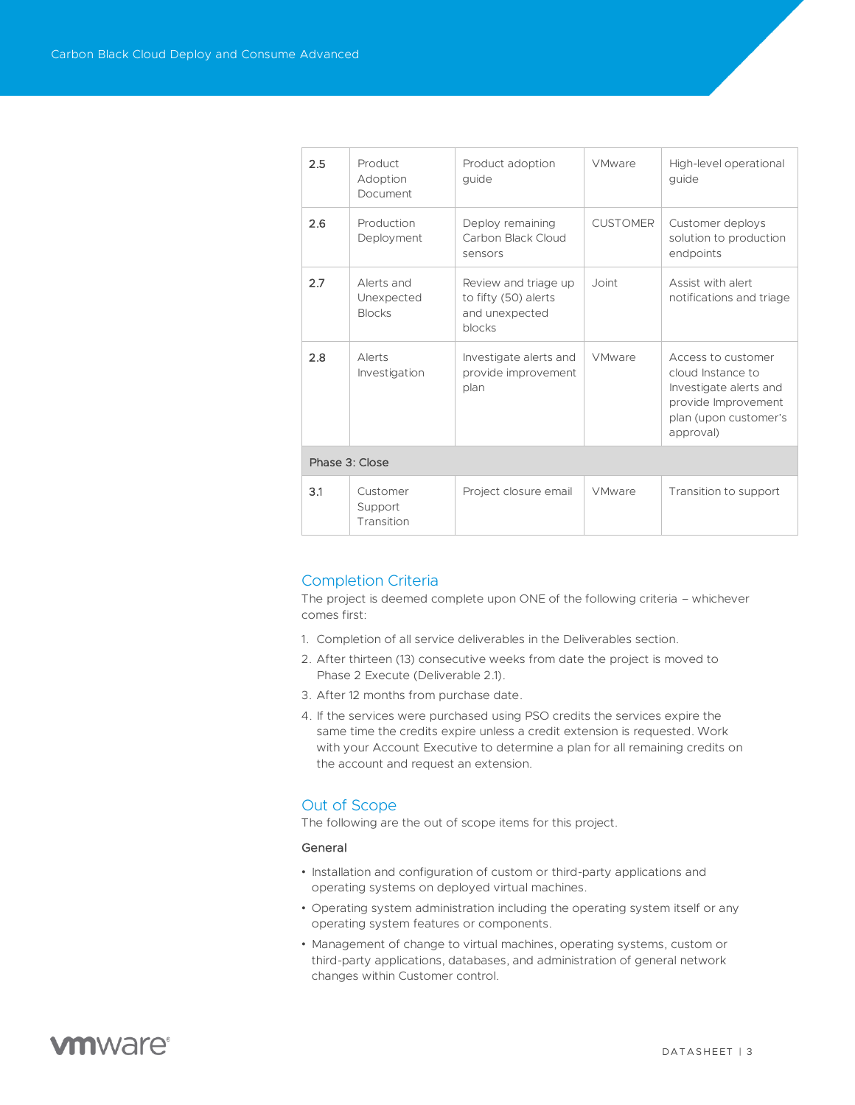| 2.5            | Product<br>Adoption<br><b>Document</b>    | Product adoption<br>quide                                                | VMware          | High-level operational<br>quide                                                                                                |  |  |
|----------------|-------------------------------------------|--------------------------------------------------------------------------|-----------------|--------------------------------------------------------------------------------------------------------------------------------|--|--|
| 2.6            | Production<br>Deployment                  | Deploy remaining<br>Carbon Black Cloud<br>sensors                        | <b>CUSTOMER</b> | Customer deploys<br>solution to production<br>endpoints                                                                        |  |  |
| 2.7            | Alerts and<br>Unexpected<br><b>Blocks</b> | Review and triage up<br>to fifty (50) alerts<br>and unexpected<br>blocks | Joint           | Assist with alert<br>notifications and triage                                                                                  |  |  |
| 2.8            | Alerts<br>Investigation                   | Investigate alerts and<br>provide improvement<br>plan                    | <b>VMware</b>   | Access to customer<br>cloud Instance to<br>Investigate alerts and<br>provide Improvement<br>plan (upon customer's<br>approval) |  |  |
| Phase 3: Close |                                           |                                                                          |                 |                                                                                                                                |  |  |
| 3.1            | Customer<br>Support<br>Transition         | Project closure email                                                    | VMware          | Transition to support                                                                                                          |  |  |

### Completion Criteria

The project is deemed complete upon ONE of the following criteria – whichever comes first:

- 1. Completion of all service deliverables in the Deliverables section.
- 2. After thirteen (13) consecutive weeks from date the project is moved to Phase 2 Execute (Deliverable 2.1).
- 3. After 12 months from purchase date.
- 4. If the services were purchased using PSO credits the services expire the same time the credits expire unless a credit extension is requested. Work with your Account Executive to determine a plan for all remaining credits on the account and request an extension*.*

## Out of Scope

The following are the out of scope items for this project.

#### General

- Installation and configuration of custom or third-party applications and operating systems on deployed virtual machines.
- Operating system administration including the operating system itself or any operating system features or components.
- Management of change to virtual machines, operating systems, custom or third-party applications, databases, and administration of general network changes within Customer control.

# **vm**ware<sup>®</sup>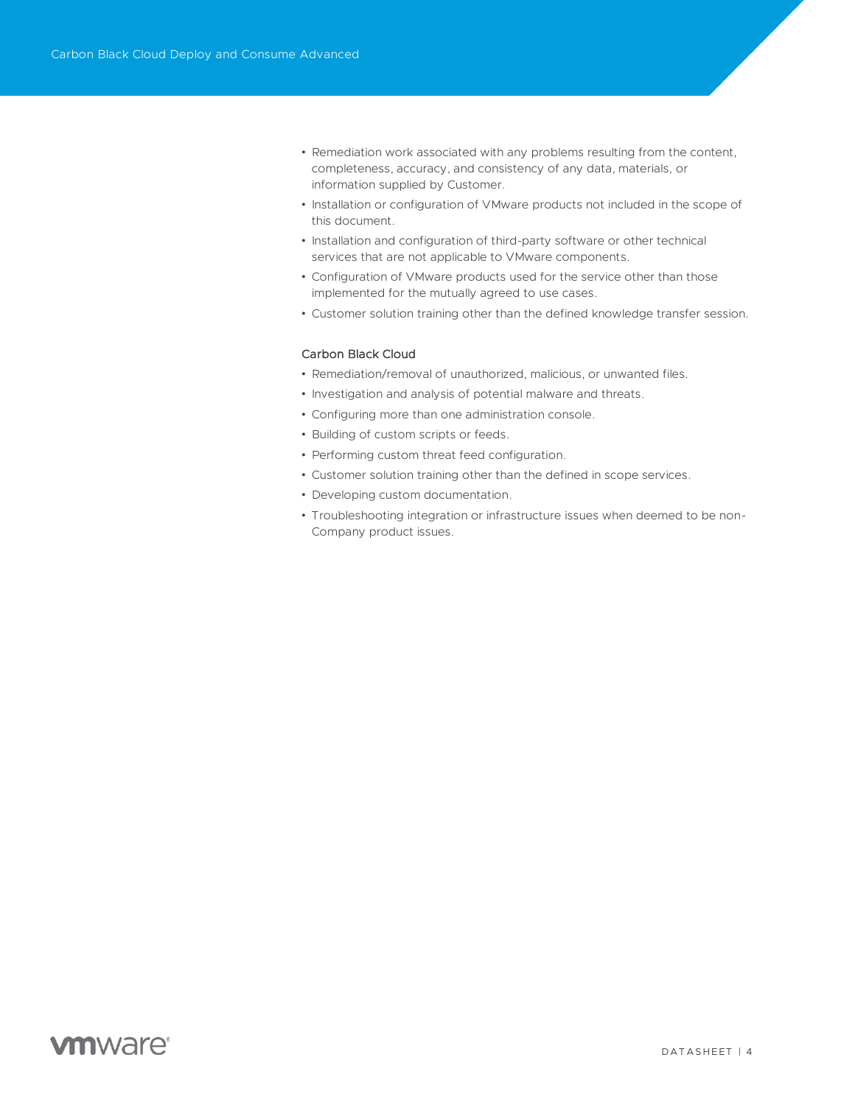- Remediation work associated with any problems resulting from the content, completeness, accuracy, and consistency of any data, materials, or information supplied by Customer.
- Installation or configuration of VMware products not included in the scope of this document.
- Installation and configuration of third-party software or other technical services that are not applicable to VMware components.
- Configuration of VMware products used for the service other than those implemented for the mutually agreed to use cases.
- Customer solution training other than the defined knowledge transfer session.

#### Carbon Black Cloud

- Remediation/removal of unauthorized, malicious, or unwanted files.
- Investigation and analysis of potential malware and threats.
- Configuring more than one administration console.
- Building of custom scripts or feeds.
- Performing custom threat feed configuration.
- Customer solution training other than the defined in scope services.
- Developing custom documentation.
- Troubleshooting integration or infrastructure issues when deemed to be non-Company product issues.

# **vm**ware<sup>®</sup>